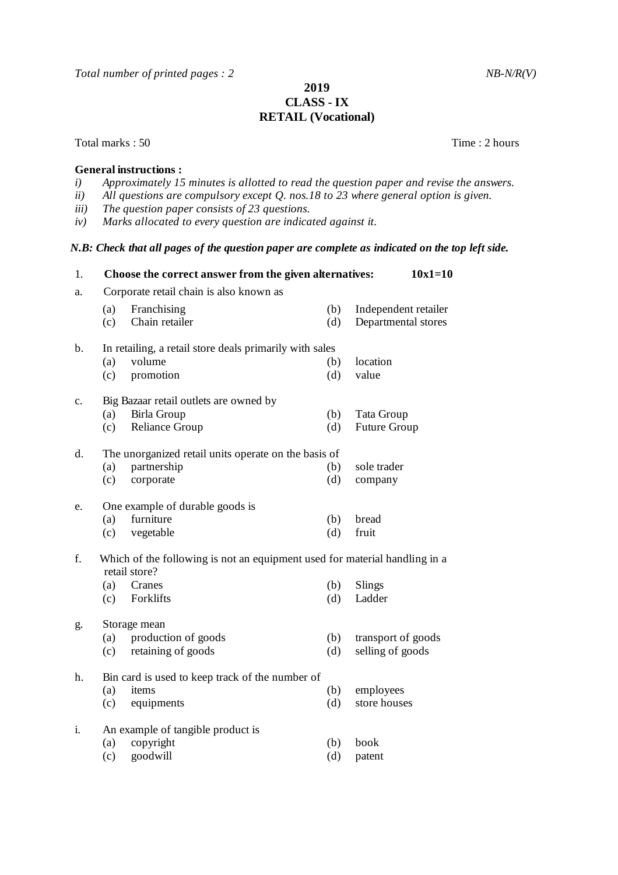*Total number of printed pages : 2 NB-N/R(V)* 

## **2019 CLASS - IX RETAIL (Vocational)**

Total marks : 50 Time : 2 hours

## **General instructions :**

- *i) Approximately 15 minutes is allotted to read the question paper and revise the answers.*
- *ii) All questions are compulsory except Q. nos.18 to 23 where general option is given.*
- *iii) The question paper consists of 23 questions.*
- *iv) Marks allocated to every question are indicated against it.*

## *N.B: Check that all pages of the question paper are complete as indicated on the top left side.*

| 1. |                                                                                             | Choose the correct answer from the given alternatives: |            | $10x1=10$                                   |  |  |
|----|---------------------------------------------------------------------------------------------|--------------------------------------------------------|------------|---------------------------------------------|--|--|
| a. | Corporate retail chain is also known as                                                     |                                                        |            |                                             |  |  |
|    | (a)<br>(c)                                                                                  | Franchising<br>Chain retailer                          | (b)<br>(d) | Independent retailer<br>Departmental stores |  |  |
| b. | In retailing, a retail store deals primarily with sales                                     |                                                        |            |                                             |  |  |
|    | (a)                                                                                         | volume                                                 | (b)        | location                                    |  |  |
|    | (c)                                                                                         | promotion                                              | (d)        | value                                       |  |  |
| c. |                                                                                             | Big Bazaar retail outlets are owned by                 |            |                                             |  |  |
|    | (a)                                                                                         | Birla Group                                            | (b)        | Tata Group                                  |  |  |
|    | (c)                                                                                         | <b>Reliance Group</b>                                  | (d)        | Future Group                                |  |  |
| d. | The unorganized retail units operate on the basis of                                        |                                                        |            |                                             |  |  |
|    | (a)                                                                                         | partnership                                            | (b)        | sole trader                                 |  |  |
|    | (c)                                                                                         | corporate                                              | (d)        | company                                     |  |  |
| e. |                                                                                             | One example of durable goods is                        |            |                                             |  |  |
|    | (a)                                                                                         | furniture                                              | (b)        | bread                                       |  |  |
|    | (c)                                                                                         | vegetable                                              | (d)        | fruit                                       |  |  |
| f. | Which of the following is not an equipment used for material handling in a<br>retail store? |                                                        |            |                                             |  |  |
|    | (a)                                                                                         | Cranes                                                 | (b)        | Slings                                      |  |  |
|    | (c)                                                                                         | Forklifts                                              | (d)        | Ladder                                      |  |  |
| g. | Storage mean                                                                                |                                                        |            |                                             |  |  |
|    | (a)                                                                                         | production of goods                                    | (b)        | transport of goods                          |  |  |
|    | (c)                                                                                         | retaining of goods                                     | (d)        | selling of goods                            |  |  |
| h. |                                                                                             | Bin card is used to keep track of the number of        |            |                                             |  |  |
|    | (a)                                                                                         | items                                                  | (b)        | employees                                   |  |  |
|    | (c)                                                                                         | equipments                                             | (d)        | store houses                                |  |  |
| i. |                                                                                             | An example of tangible product is                      |            |                                             |  |  |
|    | (a)                                                                                         | copyright                                              | (b)        | book                                        |  |  |
|    | (c)                                                                                         | goodwill                                               | (d)        | patent                                      |  |  |
|    |                                                                                             |                                                        |            |                                             |  |  |